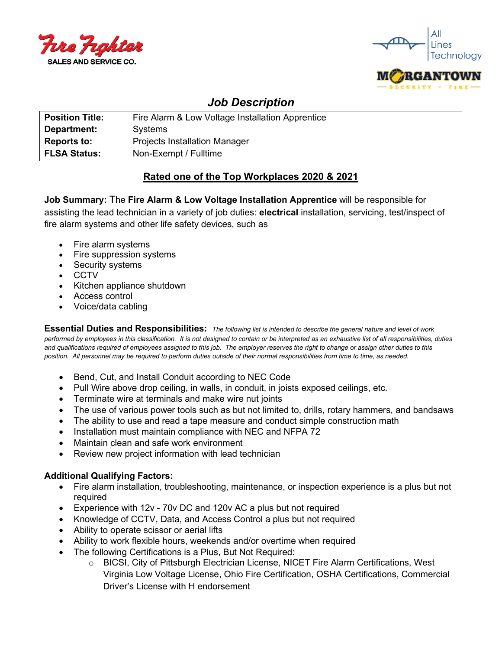



# *Job Description*

| <b>Position Title:</b> | Fire Alarm & Low Voltage Installation Apprentice |
|------------------------|--------------------------------------------------|
| Department:            | Systems                                          |
| <b>Reports to:</b>     | <b>Projects Installation Manager</b>             |
| <b>FLSA Status:</b>    | Non-Exempt / Fulltime                            |

## **Rated one of the Top Workplaces 2020 & 2021**

**Job Summary:** The **Fire Alarm & Low Voltage Installation Apprentice** will be responsible for assisting the lead technician in a variety of job duties: **electrical** installation, servicing, test/inspect of fire alarm systems and other life safety devices, such as

- Fire alarm systems
- Fire suppression systems
- Security systems
- CCTV
- Kitchen appliance shutdown
- Access control
- Voice/data cabling

**Essential Duties and Responsibilities:** *The following list is intended to describe the general nature and level of work performed by employees in this classification. It is not designed to contain or be interpreted as an exhaustive list of all responsibilities, duties and qualifications required of employees assigned to this job. The employer reserves the right to change or assign other duties to this position. All personnel may be required to perform duties outside of their normal responsibilities from time to time, as needed.*

- Bend, Cut, and Install Conduit according to NEC Code
- Pull Wire above drop ceiling, in walls, in conduit, in joists exposed ceilings, etc.
- Terminate wire at terminals and make wire nut joints
- The use of various power tools such as but not limited to, drills, rotary hammers, and bandsaws
- The ability to use and read a tape measure and conduct simple construction math
- Installation must maintain compliance with NEC and NFPA 72
- Maintain clean and safe work environment
- Review new project information with lead technician

## **Additional Qualifying Factors:**

- Fire alarm installation, troubleshooting, maintenance, or inspection experience is a plus but not required
- Experience with 12v 70v DC and 120v AC a plus but not required
- Knowledge of CCTV, Data, and Access Control a plus but not required
- Ability to operate scissor or aerial lifts
- Ability to work flexible hours, weekends and/or overtime when required
- The following Certifications is a Plus, But Not Required:
	- o BICSI, City of Pittsburgh Electrician License, NICET Fire Alarm Certifications, West Virginia Low Voltage License, Ohio Fire Certification, OSHA Certifications, Commercial Driver's License with H endorsement